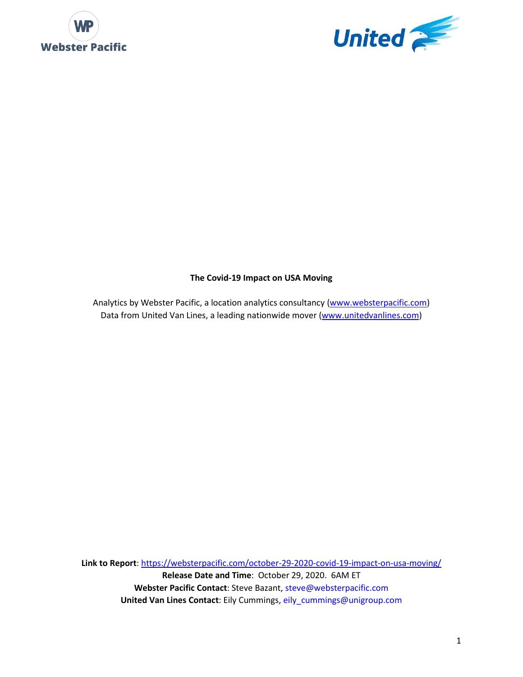



## **The Covid-19 Impact on USA Moving**

Analytics by Webster Pacific, a location analytics consultancy [\(www.websterpacific.com\)](http://www.websterpacific.com/) Data from United Van Lines, a leading nationwide mover [\(www.unitedvanlines.com\)](http://www.unitedvanlines.com/)

**Link to Report**:<https://websterpacific.com/october-29-2020-covid-19-impact-on-usa-moving/> **Release Date and Time**: October 29, 2020. 6AM ET **Webster Pacific Contact**: Steve Bazant, [steve@websterpacific.com](mailto:steve@websterpacific.com) **United Van Lines Contact**: Eily Cummings[, eily\\_cummings@unigroup.com](mailto:eily_cummings@unigroup.com)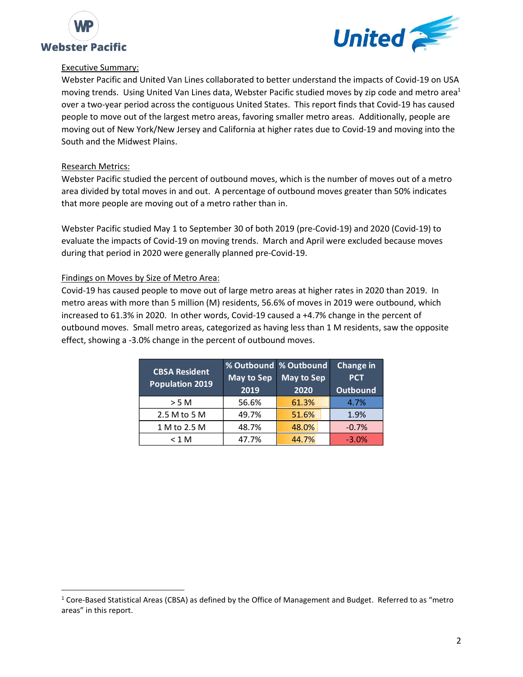



#### Executive Summary:

Webster Pacific and United Van Lines collaborated to better understand the impacts of Covid-19 on USA moving trends. Using United Van Lines data, Webster Pacific studied moves by zip code and metro area<sup>1</sup> over a two-year period across the contiguous United States. This report finds that Covid-19 has caused people to move out of the largest metro areas, favoring smaller metro areas. Additionally, people are moving out of New York/New Jersey and California at higher rates due to Covid-19 and moving into the South and the Midwest Plains.

## Research Metrics:

Webster Pacific studied the percent of outbound moves, which is the number of moves out of a metro area divided by total moves in and out. A percentage of outbound moves greater than 50% indicates that more people are moving out of a metro rather than in.

Webster Pacific studied May 1 to September 30 of both 2019 (pre-Covid-19) and 2020 (Covid-19) to evaluate the impacts of Covid-19 on moving trends. March and April were excluded because moves during that period in 2020 were generally planned pre-Covid-19.

## Findings on Moves by Size of Metro Area:

Covid-19 has caused people to move out of large metro areas at higher rates in 2020 than 2019. In metro areas with more than 5 million (M) residents, 56.6% of moves in 2019 were outbound, which increased to 61.3% in 2020. In other words, Covid-19 caused a +4.7% change in the percent of outbound moves. Small metro areas, categorized as having less than 1 M residents, saw the opposite effect, showing a -3.0% change in the percent of outbound moves.

| <b>CBSA Resident</b><br><b>Population 2019</b> | <b>May to Sep</b><br>2019 | % Outbound   % Outbound<br><b>May to Sep</b><br>2020 | <b>Change in</b><br><b>PCT</b><br>Outbound |
|------------------------------------------------|---------------------------|------------------------------------------------------|--------------------------------------------|
| $>$ 5 M                                        | 56.6%                     | 61.3%                                                | 4.7%                                       |
| 2.5 M to 5 M                                   | 49.7%                     | 51.6%                                                | 1.9%                                       |
| 1 M to 2.5 M                                   | 48.7%                     | 48.0%                                                | $-0.7%$                                    |
| $<$ 1 M                                        | 47.7%                     | 44.7%                                                | $-3.0%$                                    |

 $1$  Core-Based Statistical Areas (CBSA) as defined by the Office of Management and Budget. Referred to as "metro areas" in this report.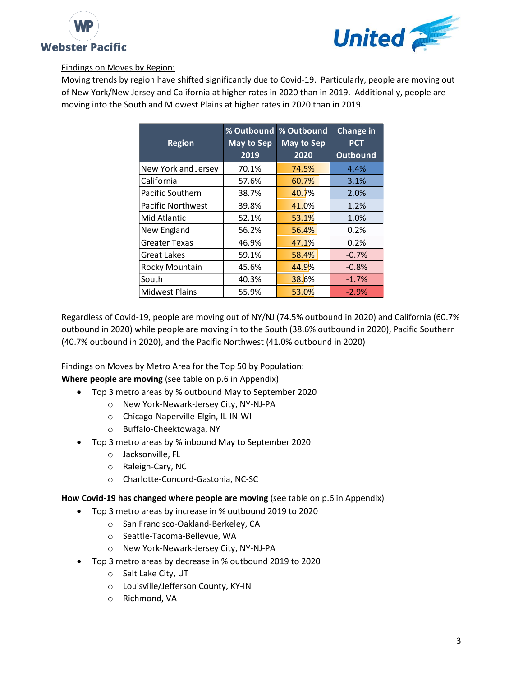



## Findings on Moves by Region:

Moving trends by region have shifted significantly due to Covid-19. Particularly, people are moving out of New York/New Jersey and California at higher rates in 2020 than in 2019. Additionally, people are moving into the South and Midwest Plains at higher rates in 2020 than in 2019.

| <b>Region</b>            | % Outbound<br>May to Sep<br>2019 | % Outbound<br><b>May to Sep</b><br>2020 | <b>Change in</b><br><b>PCT</b><br><b>Outbound</b> |
|--------------------------|----------------------------------|-----------------------------------------|---------------------------------------------------|
| New York and Jersey      | 70.1%                            | 74.5%                                   | 4.4%                                              |
| California               | 57.6%                            | 60.7%                                   | 3.1%                                              |
| Pacific Southern         | 38.7%                            | 40.7%                                   | 2.0%                                              |
| <b>Pacific Northwest</b> | 39.8%                            | 41.0%                                   | 1.2%                                              |
| Mid Atlantic             | 52.1%                            | 53.1%                                   | 1.0%                                              |
| New England              | 56.2%                            | 56.4%                                   | 0.2%                                              |
| <b>Greater Texas</b>     | 46.9%                            | 47.1%                                   | 0.2%                                              |
| <b>Great Lakes</b>       | 59.1%                            | 58.4%                                   | $-0.7%$                                           |
| Rocky Mountain           | 45.6%                            | 44.9%                                   | $-0.8%$                                           |
| South                    | 40.3%                            | 38.6%                                   | $-1.7%$                                           |
| <b>Midwest Plains</b>    | 55.9%                            | 53.0%                                   | $-2.9%$                                           |

Regardless of Covid-19, people are moving out of NY/NJ (74.5% outbound in 2020) and California (60.7% outbound in 2020) while people are moving in to the South (38.6% outbound in 2020), Pacific Southern (40.7% outbound in 2020), and the Pacific Northwest (41.0% outbound in 2020)

Findings on Moves by Metro Area for the Top 50 by Population:

**Where people are moving** (see table on p.6 in Appendix)

- Top 3 metro areas by % outbound May to September 2020
	- o New York-Newark-Jersey City, NY-NJ-PA
	- o Chicago-Naperville-Elgin, IL-IN-WI
	- o Buffalo-Cheektowaga, NY
- Top 3 metro areas by % inbound May to September 2020
	- o Jacksonville, FL
	- o Raleigh-Cary, NC
	- o Charlotte-Concord-Gastonia, NC-SC

**How Covid-19 has changed where people are moving** (see table on p.6 in Appendix)

- Top 3 metro areas by increase in % outbound 2019 to 2020
	- o San Francisco-Oakland-Berkeley, CA
	- o Seattle-Tacoma-Bellevue, WA
	- o New York-Newark-Jersey City, NY-NJ-PA
- Top 3 metro areas by decrease in % outbound 2019 to 2020
	- o Salt Lake City, UT
	- o Louisville/Jefferson County, KY-IN
	- o Richmond, VA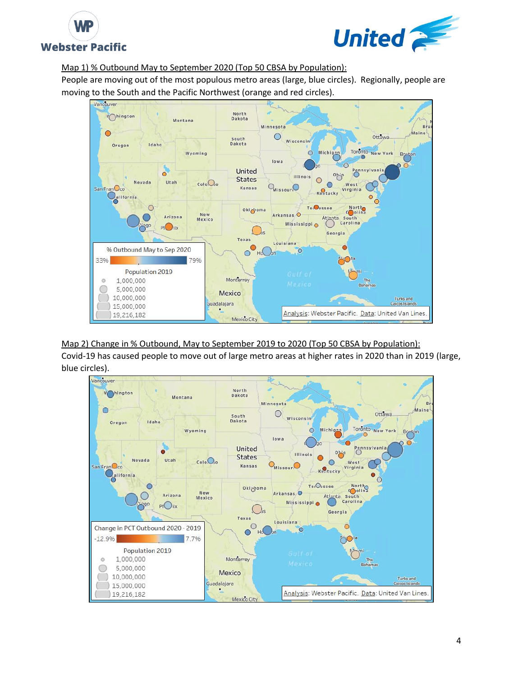



## Map 1) % Outbound May to September 2020 (Top 50 CBSA by Population):

People are moving out of the most populous metro areas (large, blue circles). Regionally, people are moving to the South and the Pacific Northwest (orange and red circles).



Map 2) Change in % Outbound, May to September 2019 to 2020 (Top 50 CBSA by Population): Covid-19 has caused people to move out of large metro areas at higher rates in 2020 than in 2019 (large, blue circles).

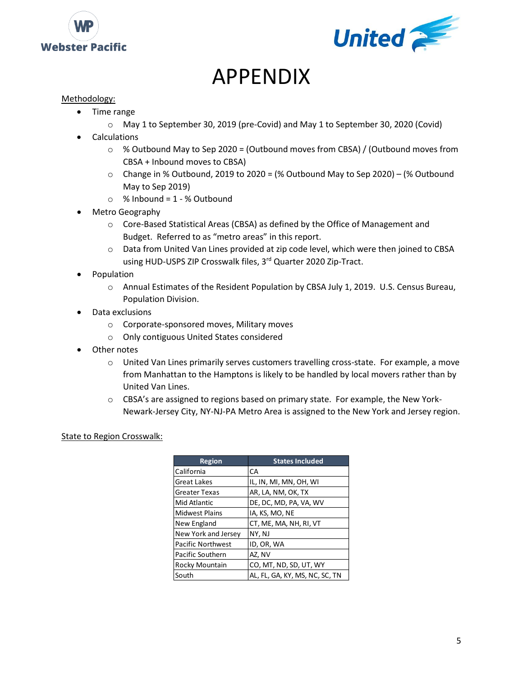



# APPENDIX

## Methodology:

- Time range
	- o May 1 to September 30, 2019 (pre-Covid) and May 1 to September 30, 2020 (Covid)
- **Calculations** 
	- $\circ$  % Outbound May to Sep 2020 = (Outbound moves from CBSA) / (Outbound moves from CBSA + Inbound moves to CBSA)
	- $\circ$  Change in % Outbound, 2019 to 2020 = (% Outbound May to Sep 2020) (% Outbound May to Sep 2019)
	- $\circ$  % Inbound = 1 % Outbound
- Metro Geography
	- o Core-Based Statistical Areas (CBSA) as defined by the Office of Management and Budget. Referred to as "metro areas" in this report.
	- o Data from United Van Lines provided at zip code level, which were then joined to CBSA using HUD-USPS ZIP Crosswalk files, 3rd Quarter 2020 Zip-Tract.
- Population
	- o Annual Estimates of the Resident Population by CBSA July 1, 2019. U.S. Census Bureau, Population Division.
- Data exclusions
	- o Corporate-sponsored moves, Military moves
	- o Only contiguous United States considered
- Other notes
	- o United Van Lines primarily serves customers travelling cross-state. For example, a move from Manhattan to the Hamptons is likely to be handled by local movers rather than by United Van Lines.
	- o CBSA's are assigned to regions based on primary state. For example, the New York-Newark-Jersey City, NY-NJ-PA Metro Area is assigned to the New York and Jersey region.

#### **State to Region Crosswalk:**

| <b>Region</b>            | <b>States Included</b>         |
|--------------------------|--------------------------------|
| California               | СA                             |
| <b>Great Lakes</b>       | IL, IN, MI, MN, OH, WI         |
| <b>Greater Texas</b>     | AR, LA, NM, OK, TX             |
| Mid Atlantic             | DE, DC, MD, PA, VA, WV         |
| <b>Midwest Plains</b>    | IA, KS, MO, NE                 |
| New England              | CT, ME, MA, NH, RI, VT         |
| New York and Jersey      | NY, NJ                         |
| <b>Pacific Northwest</b> | ID, OR, WA                     |
| Pacific Southern         | AZ, NV                         |
| Rocky Mountain           | CO, MT, ND, SD, UT, WY         |
| South                    | AL, FL, GA, KY, MS, NC, SC, TN |